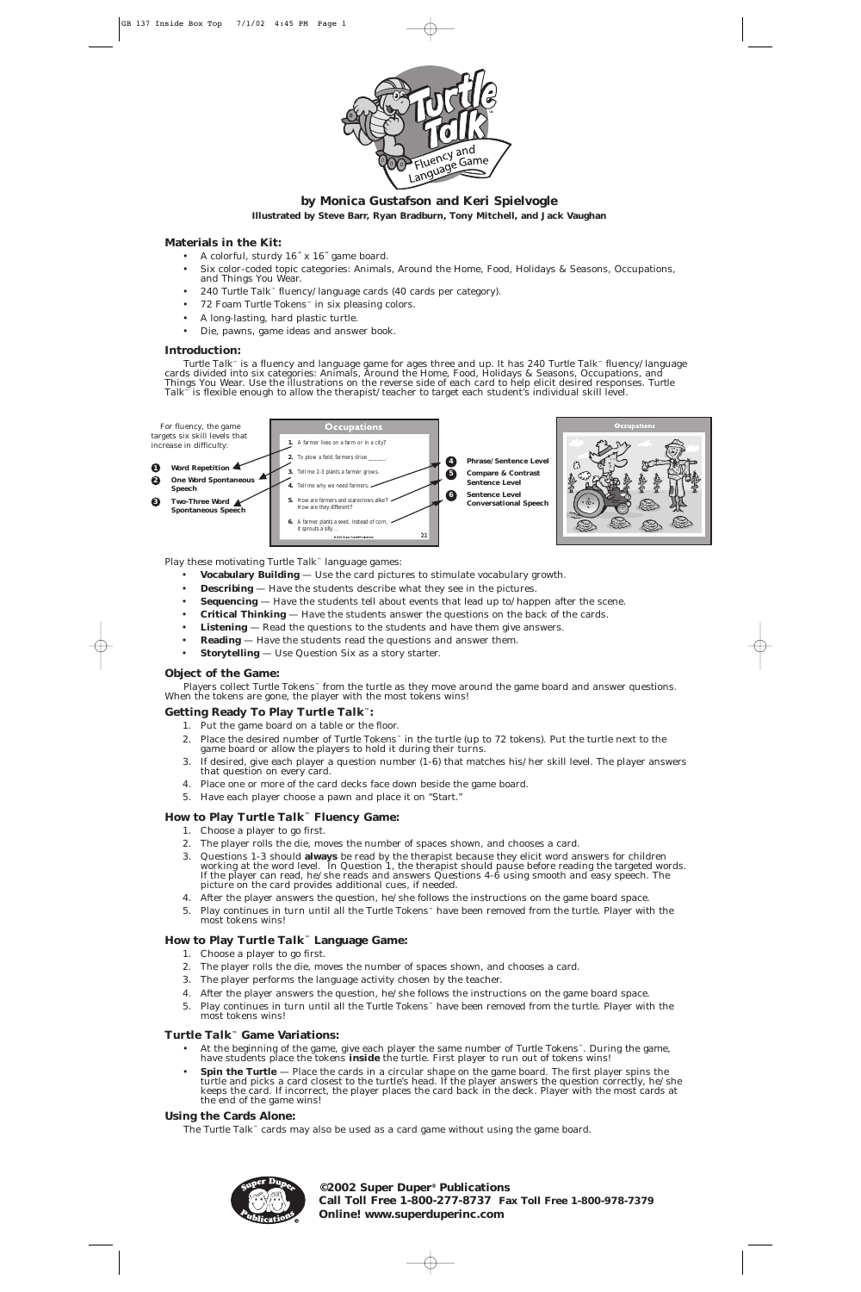

# **by Monica Gustafson and Keri Spielvogle Illustrated by Steve Barr, Ryan Bradburn, Tony Mitchell, and Jack Vaughan**

# **Materials in the Kit:**

*Turtle Talk*™ is a fluency and language game for ages three and up. It has 240 *Turtle Talk*™ fluency/language cards divided into six categories: Animals, Around the Home, Food, Holidays & Seasons, Occupations, and Things You Wear. Use the illustrations on the reverse side of each card to help elicit desired responses. *Turtle Talk*<sup>™</sup> is flexible enough to allow the therapist/teacher to target each student's individual skill level.

- A colorful, sturdy 16˝ x 16˝ game board.
- Six color-coded topic categories: Animals, Around the Home, Food, Holidays & Seasons, Occupations, and Things You Wear.
- 240 *Turtle Talk*™ fluency/language cards (40 cards per category).
- 72 Foam *Turtle Tokens™* in six pleasing colors.
- A long-lasting, hard plastic turtle.
- Die, pawns, game ideas and answer book.

# **Introduction:**

Play these motivating *Turtle Talk*™ language games:

- **Vocabulary Building** Use the card pictures to stimulate vocabulary growth.
- **Describing** Have the students describe what they see in the pictures.
- **Sequencing** Have the students tell about events that lead up to/happen after the scene.
- **Critical Thinking** Have the students answer the questions on the back of the cards.
- **Listening** Read the questions to the students and have them give answers.
- **Reading** Have the students read the questions and answer them.
- **Storytelling** Use Question Six as a story starter.

# **Object of the Game:**

Players collect *Turtle Tokens™* from the turtle as they move around the game board and answer questions. When the tokens are gone, the player with the most tokens wins!

# **Getting Ready To Play** *Turtle Talk***™:**

- 1. Put the game board on a table or the floor.
- 2. Place the desired number of *Turtle Tokens™* in the turtle (up to 72 tokens). Put the turtle next to the game board or allow the players to hold it during their turns.
- 3. If desired, give each player a question number (1-6) that matches his/her skill level. The player answers that question on every card.
- 4. Place one or more of the card decks face down beside the game board.
- 5. Have each player choose a pawn and place it on "Start."

# **How to Play** *Turtle Talk***™ Fluency Game:**

- 1. Choose a player to go first.
- 2. The player rolls the die, moves the number of spaces shown, and chooses a card.
- 3. Questions 1-3 should **always** be read by the therapist because they elicit word answers for children working at the word level. In Question 1, the therapist should pause before reading the targeted words. If the player can read, he/she reads and answers Questions 4-6 using smooth and easy speech. The picture on the card provides additional cues, if needed.
- 4. After the player answers the question, he/she follows the instructions on the game board space.
- 5. Play continues in turn until all the *Turtle Tokens™* have been removed from the turtle. Player with the most tokens wins!

# **How to Play** *Turtle Talk***™ Language Game:**

- 1. Choose a player to go first.
- 2. The player rolls the die, moves the number of spaces shown, and chooses a card.
- 3. The player performs the language activity chosen by the teacher.
- 4. After the player answers the question, he/she follows the instructions on the game board space.
- 5. Play continues in turn until all the *Turtle Tokens™* have been removed from the turtle. Player with the most tokens wins!

# *Turtle Talk***™ Game Variations:**

- At the beginning of the game, give each player the same number of *Turtle Tokens™*. During the game, have students place the tokens *inside* the turtle. First player to run out of tokens wins!
- **Spin the Turtle** Place the cards in a circular shape on the game board. The first player spins the turtle and picks a card closest to the turtle's head. If the player answers the question correctly, he/she keeps the card. If incorrect, the player places the card back in the deck. Player with the most cards at the end of the game wins!

# **Using the Cards Alone:**

The *Turtle Talk™* cards may also be used as a card game without using the game board.



**©2002 Super Duper® Publications Call Toll Free 1-800-277-8737 Fax Toll Free 1-800-978-7379 Online! www.superduperinc.com**

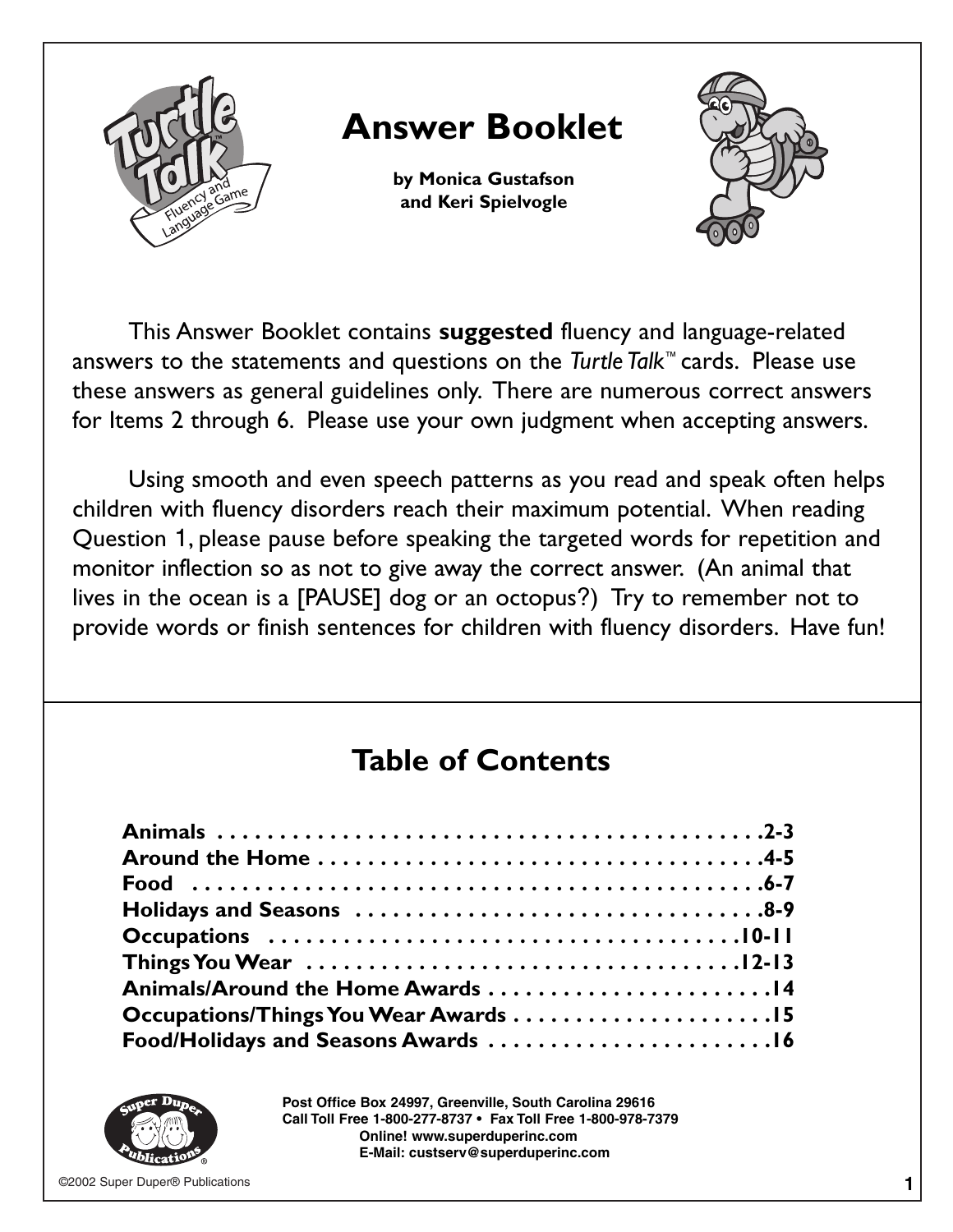

This Answer Booklet contains **suggested** fluency and language-related answers to the statements and questions on the *Turtle Talk*™ cards. Please use these answers as general guidelines only. There are numerous correct answers for Items 2 through 6. Please use your own judgment when accepting answers.

Using smooth and even speech patterns as you read and speak often helps children with fluency disorders reach their maximum potential. When reading Question 1, please pause before speaking the targeted words for repetition and monitor inflection so as not to give away the correct answer. (An animal that lives in the ocean is a [PAUSE] dog or an octopus?) Try to remember not to provide words or finish sentences for children with fluency disorders. Have fun!

# **Table of Contents**

| Animals/Around the Home Awards 14   |  |
|-------------------------------------|--|
|                                     |  |
| Food/Holidays and Seasons Awards 16 |  |



**Post Office Box 24997, Greenville, South Carolina 29616 Call Toll Free 1-800-277-8737 • Fax Toll Free 1-800-978-7379 Online! www.superduperinc.com E-Mail: custserv@superduperinc.com**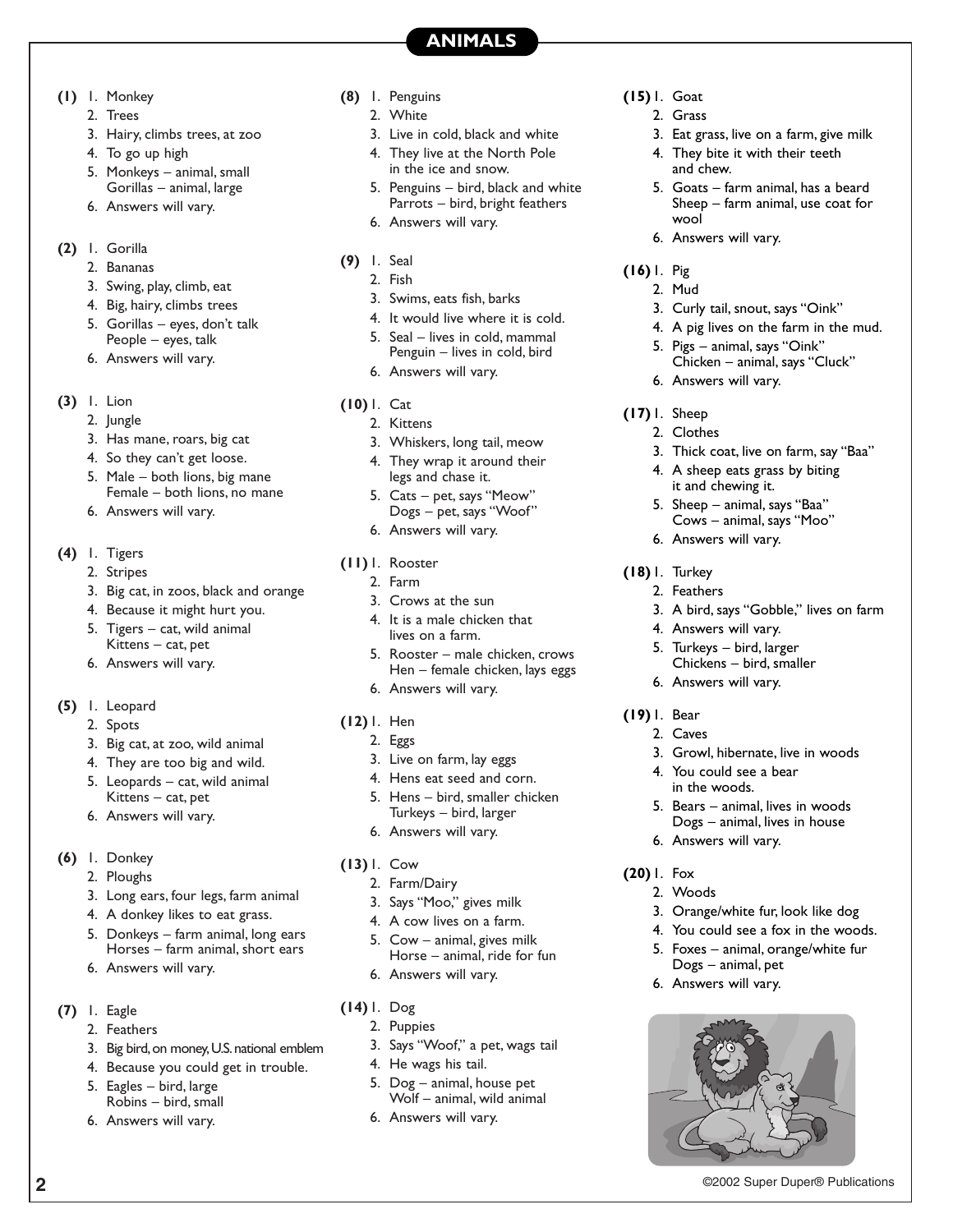**ANIMALS**

- **(1)** 1. Monkey
	- 2. Trees
	- 3. Hairy, climbs trees, at zoo
	- 4. To go up high
	- 5. Monkeys animal, small Gorillas – animal, large
	- 6. Answers will vary.
- **(2)** 1. Gorilla
	- 2. Bananas
	- 3. Swing, play, climb, eat
	- 4. Big, hairy, climbs trees
	- 5. Gorillas eyes, don't talk People – eyes, talk
	- 6. Answers will vary.
- **(3)** 1. Lion
	- 2. Jungle
	- 3. Has mane, roars, big cat
	- 4. So they can't get loose.
	- 5. Male both lions, big mane Female – both lions, no mane
	- 6. Answers will vary.
- **(4)** 1. Tigers
	- 2. Stripes
	- 3. Big cat, in zoos, black and orange
	- 4. Because it might hurt you.
	- 5. Tigers cat, wild animal Kittens – cat, pet
	- 6. Answers will vary.
- **(5)** 1. Leopard
	- 2. Spots
	- 3. Big cat, at zoo, wild animal
	- 4. They are too big and wild.
	- 5. Leopards cat, wild animal Kittens – cat, pet
	- 6. Answers will vary.
- **(6)** 1. Donkey
	- 2. Ploughs
	- 3. Long ears, four legs, farm animal
	- 4. A donkey likes to eat grass.
	- 5. Donkeys farm animal, long ears Horses – farm animal, short ears
	- 6. Answers will vary.
- **(7)** 1. Eagle
	- 2. Feathers
	- 3. Big bird, on money, U.S. national emblem
	- 4. Because you could get in trouble.
	- 5. Eagles bird, large Robins – bird, small
	- 6. Answers will vary.
- **(8)** 1. Penguins
	- 2. White
	- 3. Live in cold, black and white
	- 4. They live at the North Pole in the ice and snow.
	- 5. Penguins bird, black and white Parrots – bird, bright feathers
	- 6. Answers will vary.
- **(9)** 1. Seal
	- 2. Fish
	- 3. Swims, eats fish, barks
	- 4. It would live where it is cold.
	- 5. Seal lives in cold, mammal Penguin – lives in cold, bird
	- 6. Answers will vary.
- **(10)** 1. Cat
	- 2. Kittens
	- 3. Whiskers, long tail, meow
	- 4. They wrap it around their legs and chase it.
	- 5. Cats pet, says "Meow" Dogs – pet, says "Woof"
	- 6. Answers will vary.
- **(11)** 1. Rooster
	- 2. Farm
	- 3. Crows at the sun
	- 4. It is a male chicken that lives on a farm.
	- 5. Rooster male chicken, crows Hen – female chicken, lays eggs
	- 6. Answers will vary.
- **(12)** 1. Hen
	- 2. Eggs
	- 3. Live on farm, lay eggs
	- 4. Hens eat seed and corn.
	- 5. Hens bird, smaller chicken Turkeys – bird, larger
	- 6. Answers will vary.
- **(13)** 1. Cow
	- 2. Farm/Dairy
	- 3. Says "Moo," gives milk
	- 4. A cow lives on a farm.
	- 5. Cow animal, gives milk Horse – animal, ride for fun
	- 6. Answers will vary.
- **(14)** 1. Dog
	- 2. Puppies
	- 3. Says "Woof," a pet, wags tail
	- 4. He wags his tail.
	- 5. Dog animal, house pet Wolf – animal, wild animal

**2** ©2002 Super Duper® Publications

6. Answers will vary.

- **(15)** 1. Goat
	- 2. Grass
		- 3. Eat grass, live on a farm, give milk
		- 4. They bite it with their teeth and chew.
		- 5. Goats farm animal, has a beard Sheep – farm animal, use coat for wool
		- 6. Answers will vary.
- **(16)** 1. Pig
	- 2. Mud
	- 3. Curly tail, snout, says "Oink"
	- 4. A pig lives on the farm in the mud.

3. Thick coat, live on farm, say "Baa" 4. A sheep eats grass by biting it and chewing it. 5. Sheep – animal, says "Baa" Cows – animal, says "Moo"

3. A bird, says "Gobble," lives on farm

3. Growl, hibernate, live in woods

5. Bears – animal, lives in woods Dogs – animal, lives in house

3. Orange/white fur, look like dog 4. You could see a fox in the woods. 5. Foxes – animal, orange/white fur

Dogs – animal, pet 6. Answers will vary.

- 5. Pigs animal, says "Oink"
- Chicken animal, says "Cluck"
- 6. Answers will vary.

6. Answers will vary.

4. Answers will vary. 5. Turkeys – bird, larger Chickens – bird, smaller

6. Answers will vary.

4. You could see a bear in the woods.

6. Answers will vary.

**(17)** 1. Sheep

**(18)** 1. Turkey 2. Feathers

**(19)** 1. Bear 2. Caves

**(20)** 1. Fox 2. Woods

2. Clothes